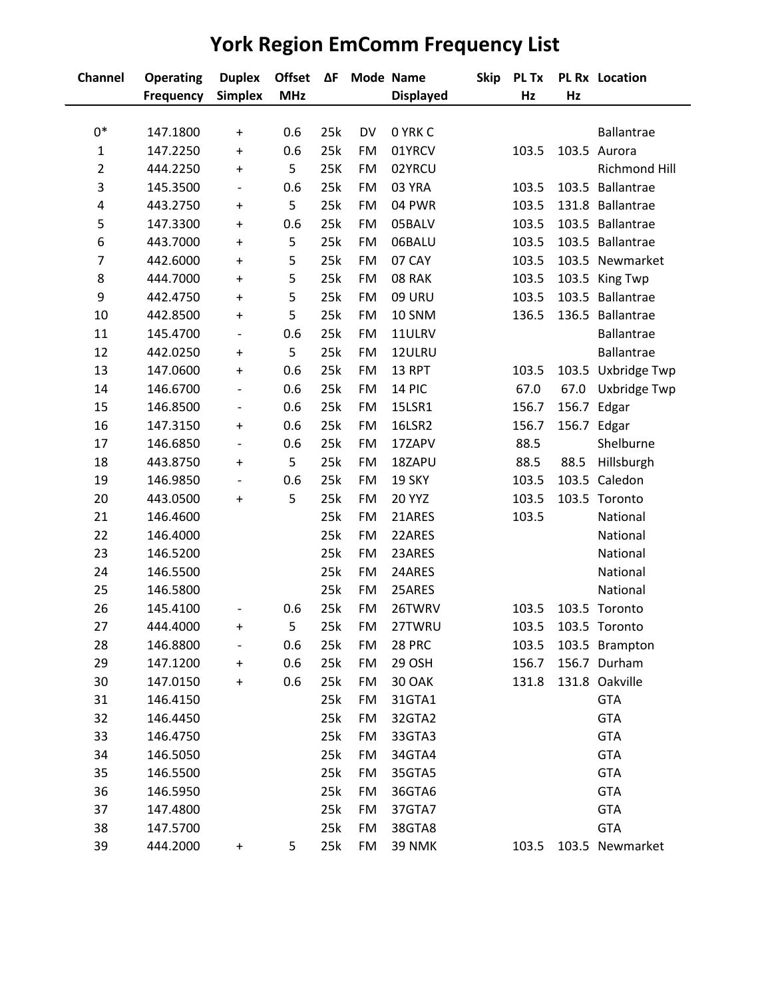## **Channel Operating Duplex Offset ΔF Mode Name Skip PL Tx PL Rx Location Frequency Simplex MHz Displayed Hz Hz** 0\* 147.1800 + 0.6 25k DV 0 YRK C Ballantrae 147.2250 + 0.6 25k FM 01YRCV 103.5 103.5 Aurora 444.2250 + 5 25K FM 02YRCU Richmond Hill 145.3500 - 0.6 25k FM 03 YRA 103.5 103.5 Ballantrae 443.2750 + 5 25k FM 04 PWR 103.5 131.8 Ballantrae 147.3300 + 0.6 25k FM 05BALV 103.5 103.5 Ballantrae 443.7000 + 5 25k FM 06BALU 103.5 103.5 Ballantrae 442.6000 + 5 25k FM 07 CAY 103.5 103.5 Newmarket 444.7000 + 5 25k FM 08 RAK 103.5 103.5 King Twp 442.4750 + 5 25k FM 09 URU 103.5 103.5 Ballantrae 442.8500 + 5 25k FM 10 SNM 136.5 136.5 Ballantrae 145.4700 - 0.6 25k FM 11ULRV Ballantrae 442.0250 + 5 25k FM 12ULRU Ballantrae 147.0600 + 0.6 25k FM 13 RPT 103.5 103.5 Uxbridge Twp 146.6700 - 0.6 25k FM 14 PIC 67.0 67.0 Uxbridge Twp 146.8500 - 0.6 25k FM 15LSR1 156.7 156.7 Edgar 147.3150 + 0.6 25k FM 16LSR2 156.7 156.7 Edgar 146.6850 - 0.6 25k FM 17ZAPV 88.5 Shelburne 443.8750 + 5 25k FM 18ZAPU 88.5 88.5 Hillsburgh 146.9850 - 0.6 25k FM 19 SKY 103.5 103.5 Caledon 443.0500 + 5 25k FM 20 YYZ 103.5 103.5 Toronto 146.4600 25k FM 21ARES 103.5 National 146.4000 25k FM 22ARES National 146.5200 25k FM 23ARES National 146.5500 25k FM 24ARES National 146.5800 25k FM 25ARES National 145.4100 - 0.6 25k FM 26TWRV 103.5 103.5 Toronto 444.4000 + 5 25k FM 27TWRU 103.5 103.5 Toronto 146.8800 - 0.6 25k FM 28 PRC 103.5 103.5 Brampton 147.1200 + 0.6 25k FM 29 OSH 156.7 156.7 Durham 147.0150 + 0.6 25k FM 30 OAK 131.8 131.8 Oakville 146.4150 25k FM 31GTA1 GTA 146.4450 25k FM 32GTA2 GTA 146.4750 25k FM 33GTA3 GTA 146.5050 25k FM 34GTA4 GTA 146.5500 25k FM 35GTA5 GTA 146.5950 25k FM 36GTA6 GTA 147.4800 25k FM 37GTA7 GTA 147.5700 25k FM 38GTA8 GTA 444.2000 + 5 25k FM 39 NMK 103.5 103.5 Newmarket

## **York Region EmComm Frequency List**